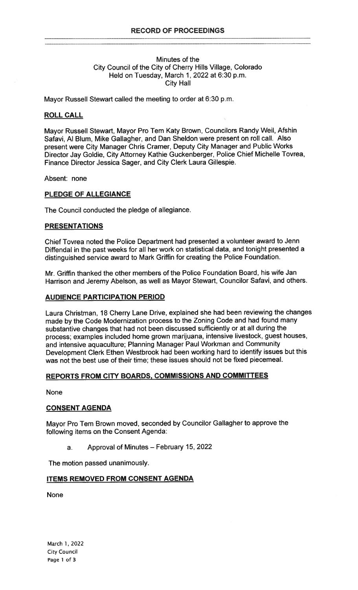# Minutes of the City Council of the City of Cherry Hills Village, Colorado Held on Tuesday, March 1, 2022 at 6:30 p.m. City Hall

Mayor Russell Stewart called the meeting to order at 6:30 p.m.

## ROLL CALL

Mayor Russell Stewart, Mayor Pro Tern Katy Brown, Councilors Randy Weil, Afshin Safavi, Al Blum, Mike Gallagher, and Dan Sheldon were present on roll call. Also present were City Manager Chris Cramer, Deputy City Manager and Public Works Director Jay Goldie, City Attorney Kathie Guckenberger, Police Chief Michelle Tovrea, Finance Director Jessica Sager, and City Clerk Laura Gillespie.

Absent: none

#### PLEDGE OF ALLEGIANCE

The Council conducted the pledge of allegiance.

# PRESENTATIONS

Chief Tovrea noted the Police Department had presented a volunteer award to Jenn Diffendal in the past weeks for all her work on statistical data, and tonight presented a distinguished service award to Mark Griffin for creating the Police Foundation.

Mr. Griffin thanked the other members of the Police Foundation Board, his wife Jan Harrison and Jeremy Abelson, as well as Mayor Stewart, Councilor Safavi, and others.

# AUDIENCE PARTICIPATION PERIOD

Laura Christman, 18 Cherry Lane Drive, explained she had been reviewing the changes made by the Code Modernization process to the Zoning Code and had found many substantive changes that had not been discussed sufficiently or at all during the process; examples included home grown marijuana, intensive livestock, guest houses, and intensive aquaculture; Planning Manager Paul Workman and Community Development Clerk Ethen Westbrook had been working hard to identify issues but this was not the best use of their time; these issues should not be fixed piecemeal.

# REPORTS FROM CITY BOARDS, COMMISSIONS AND COMMITTEES

None

### CONSENT AGENDA

Mayor Pro Tern Brown moved, seconded by Councilor Gallagher to approve the following items on the Consent Agenda:

a. Approval of Minutes — February 15, 2022

The motion passed unanimously.

# ITEMS REMOVED FROM CONSENT AGENDA

None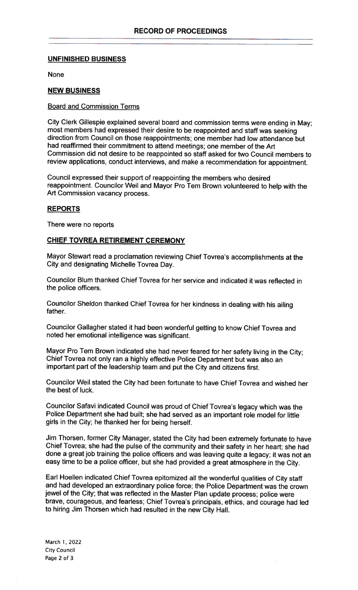# UNFINISHED BUSINESS

None

# NEW BUSINESS

## Board and Commission Terms

City Clerk Gillespie explained several board and commission terms were ending in May; most members had expressed their desire to be reappointed and staff was seeking direction from Council on those reappointments; one member had low attendance but had reaffirmed their commitment to attend meetings; one member of the Art Commission did not desire to be reappointed so staff asked for two Council members to review applications, conduct interviews, and make a recommendation for appointment.

Council expressed their support of reappointing the members who desired reappointment. Councilor Weil and Mayor Pro Tern Brown volunteered to help with the Art Commission vacancy process.

# **REPORTS**

There were no reports

# CHIEF TOVREA RETIREMENT CEREMONY

Mayor Stewart read a proclamation reviewing Chief Tovrea's accomplishments at the City and designating Michelle Tovrea Day.

Councilor Blum thanked Chief Tovrea for her service and indicated it was reflected in the police officers.

Councilor Sheldon thanked Chief Tovrea for her kindness in dealing with his ailing father.

Councilor Gallagher stated it had been wonderful getting to know Chief Tovrea and noted her emotional intelligence was significant.

Mayor Pro Tem Brown indicated she had never feared for her safety living in the City; Chief Tovrea not only ran a highly effective Police Department but was also an important part of the leadership team and put the City and citizens first.

Councilor Weil stated the City had been fortunate to have Chief Tovrea and wished her the best of luck.

Councilor Safavi indicated Council was proud of Chief Tovrea's legacy which was the Police Department she had built; she had served as an important role model for little girls in the City; he thanked her for being herself.

Jim Thorsen, former City Manager, stated the City had been extremely fortunate to have Chief Tovrea; she had the pulse of the community and their safety in her heart; she had done a great job training the police officers and was leaving quite a legacy; it was not an easy time to be a police officer, but she had provided a great atmosphere in the City.

Earl Hoellen indicated Chief Tovrea epitomized all the wonderful qualities of City staff and had developed an extraordinary police force; the Police Department was the crown jewel of the City; that was reflected in the Master Plan update process; police were brave, courageous, and fearless; Chief Tovrea's principals, ethics, and courage had led to hiring Jim Thorsen which had resulted in the new City Hall.